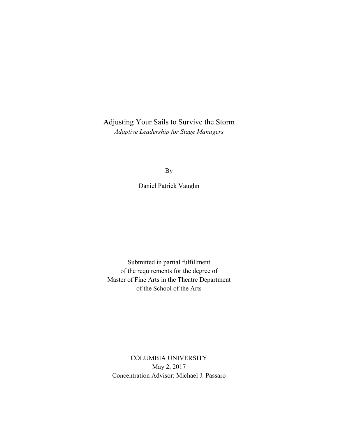Adjusting Your Sails to Survive the Storm *Adaptive Leadership for Stage Managers*

By

Daniel Patrick Vaughn

Submitted in partial fulfillment of the requirements for the degree of Master of Fine Arts in the Theatre Department of the School of the Arts

COLUMBIA UNIVERSITY May 2, 2017 Concentration Advisor: Michael J. Passaro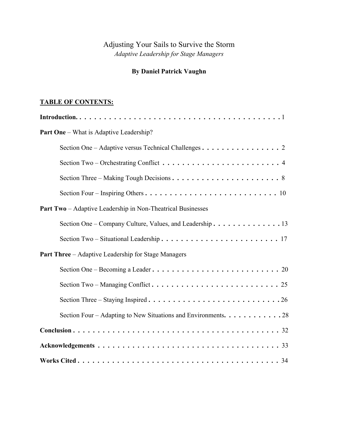# Adjusting Your Sails to Survive the Storm *Adaptive Leadership for Stage Managers*

# **By Daniel Patrick Vaughn**

## **TABLE OF CONTENTS:**

| <b>Part One</b> – What is Adaptive Leadership?                     |
|--------------------------------------------------------------------|
| Section One - Adaptive versus Technical Challenges 2               |
|                                                                    |
|                                                                    |
|                                                                    |
| <b>Part Two</b> – Adaptive Leadership in Non-Theatrical Businesses |
| Section One – Company Culture, Values, and Leadership. 13          |
|                                                                    |
| <b>Part Three</b> - Adaptive Leadership for Stage Managers         |
|                                                                    |
|                                                                    |
|                                                                    |
| Section Four – Adapting to New Situations and Environments. 28     |
|                                                                    |
|                                                                    |
|                                                                    |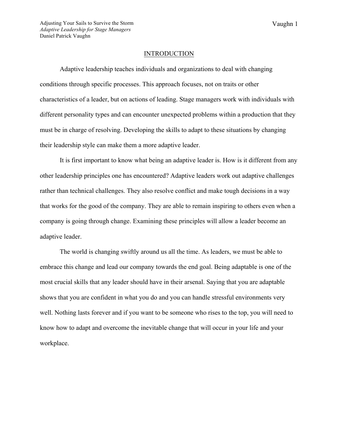#### INTRODUCTION

Adaptive leadership teaches individuals and organizations to deal with changing conditions through specific processes. This approach focuses, not on traits or other characteristics of a leader, but on actions of leading. Stage managers work with individuals with different personality types and can encounter unexpected problems within a production that they must be in charge of resolving. Developing the skills to adapt to these situations by changing their leadership style can make them a more adaptive leader.

It is first important to know what being an adaptive leader is. How is it different from any other leadership principles one has encountered? Adaptive leaders work out adaptive challenges rather than technical challenges. They also resolve conflict and make tough decisions in a way that works for the good of the company. They are able to remain inspiring to others even when a company is going through change. Examining these principles will allow a leader become an adaptive leader.

The world is changing swiftly around us all the time. As leaders, we must be able to embrace this change and lead our company towards the end goal. Being adaptable is one of the most crucial skills that any leader should have in their arsenal. Saying that you are adaptable shows that you are confident in what you do and you can handle stressful environments very well. Nothing lasts forever and if you want to be someone who rises to the top, you will need to know how to adapt and overcome the inevitable change that will occur in your life and your workplace.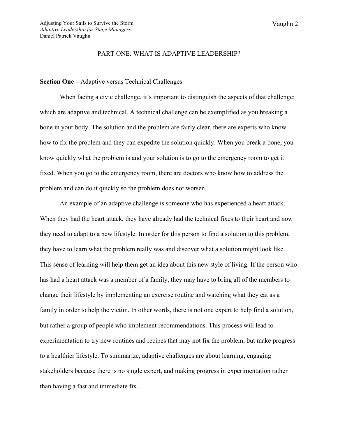#### PART ONE: WHAT IS ADAPTIVE LEADERSHIP?

## **Section One –** Adaptive versus Technical Challenges

When facing a civic challenge, it's important to distinguish the aspects of that challenge: which are adaptive and technical. A technical challenge can be exemplified as you breaking a bone in your body. The solution and the problem are fairly clear, there are experts who know how to fix the problem and they can expedite the solution quickly. When you break a bone, you know quickly what the problem is and your solution is to go to the emergency room to get it fixed. When you go to the emergency room, there are doctors who know how to address the problem and can do it quickly so the problem does not worsen.

An example of an adaptive challenge is someone who has experienced a heart attack. When they had the heart attack, they have already had the technical fixes to their heart and now they need to adapt to a new lifestyle. In order for this person to find a solution to this problem, they have to learn what the problem really was and discover what a solution might look like. This sense of learning will help them get an idea about this new style of living. If the person who has had a heart attack was a member of a family, they may have to bring all of the members to change their lifestyle by implementing an exercise routine and watching what they eat as a family in order to help the victim. In other words, there is not one expert to help find a solution, but rather a group of people who implement recommendations. This process will lead to experimentation to try new routines and recipes that may not fix the problem, but make progress to a healthier lifestyle. To summarize, adaptive challenges are about learning, engaging stakeholders because there is no single expert, and making progress in experimentation rather than having a fast and immediate fix.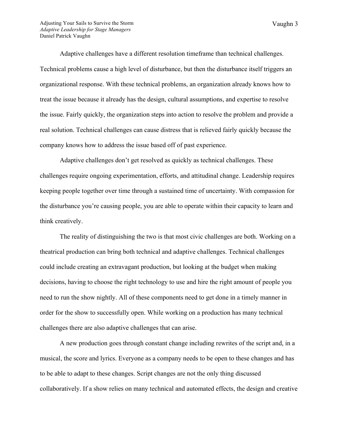Vaughn 3

Adaptive challenges have a different resolution timeframe than technical challenges. Technical problems cause a high level of disturbance, but then the disturbance itself triggers an organizational response. With these technical problems, an organization already knows how to treat the issue because it already has the design, cultural assumptions, and expertise to resolve the issue. Fairly quickly, the organization steps into action to resolve the problem and provide a real solution. Technical challenges can cause distress that is relieved fairly quickly because the company knows how to address the issue based off of past experience.

Adaptive challenges don't get resolved as quickly as technical challenges. These challenges require ongoing experimentation, efforts, and attitudinal change. Leadership requires keeping people together over time through a sustained time of uncertainty. With compassion for the disturbance you're causing people, you are able to operate within their capacity to learn and think creatively.

The reality of distinguishing the two is that most civic challenges are both. Working on a theatrical production can bring both technical and adaptive challenges. Technical challenges could include creating an extravagant production, but looking at the budget when making decisions, having to choose the right technology to use and hire the right amount of people you need to run the show nightly. All of these components need to get done in a timely manner in order for the show to successfully open. While working on a production has many technical challenges there are also adaptive challenges that can arise.

A new production goes through constant change including rewrites of the script and, in a musical, the score and lyrics. Everyone as a company needs to be open to these changes and has to be able to adapt to these changes. Script changes are not the only thing discussed collaboratively. If a show relies on many technical and automated effects, the design and creative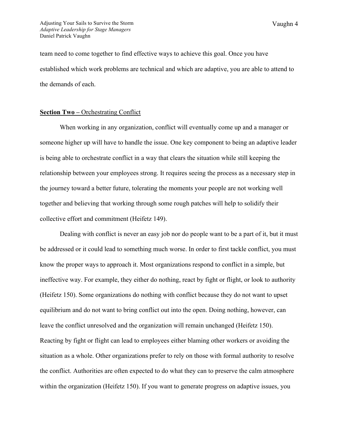team need to come together to find effective ways to achieve this goal. Once you have established which work problems are technical and which are adaptive, you are able to attend to the demands of each.

#### **Section Two –** Orchestrating Conflict

When working in any organization, conflict will eventually come up and a manager or someone higher up will have to handle the issue. One key component to being an adaptive leader is being able to orchestrate conflict in a way that clears the situation while still keeping the relationship between your employees strong. It requires seeing the process as a necessary step in the journey toward a better future, tolerating the moments your people are not working well together and believing that working through some rough patches will help to solidify their collective effort and commitment (Heifetz 149).

Dealing with conflict is never an easy job nor do people want to be a part of it, but it must be addressed or it could lead to something much worse. In order to first tackle conflict, you must know the proper ways to approach it. Most organizations respond to conflict in a simple, but ineffective way. For example, they either do nothing, react by fight or flight, or look to authority (Heifetz 150). Some organizations do nothing with conflict because they do not want to upset equilibrium and do not want to bring conflict out into the open. Doing nothing, however, can leave the conflict unresolved and the organization will remain unchanged (Heifetz 150). Reacting by fight or flight can lead to employees either blaming other workers or avoiding the situation as a whole. Other organizations prefer to rely on those with formal authority to resolve the conflict. Authorities are often expected to do what they can to preserve the calm atmosphere within the organization (Heifetz 150). If you want to generate progress on adaptive issues, you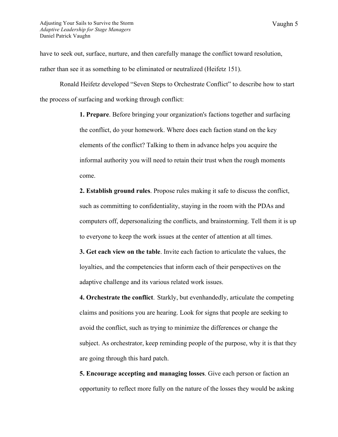have to seek out, surface, nurture, and then carefully manage the conflict toward resolution, rather than see it as something to be eliminated or neutralized (Heifetz 151).

Ronald Heifetz developed "Seven Steps to Orchestrate Conflict" to describe how to start the process of surfacing and working through conflict:

> **1. Prepare**. Before bringing your organization's factions together and surfacing the conflict, do your homework. Where does each faction stand on the key elements of the conflict? Talking to them in advance helps you acquire the informal authority you will need to retain their trust when the rough moments come.

**2. Establish ground rules**. Propose rules making it safe to discuss the conflict, such as committing to confidentiality, staying in the room with the PDAs and computers off, depersonalizing the conflicts, and brainstorming. Tell them it is up to everyone to keep the work issues at the center of attention at all times.

**3. Get each view on the table**. Invite each faction to articulate the values, the loyalties, and the competencies that inform each of their perspectives on the adaptive challenge and its various related work issues.

**4. Orchestrate the conflict**. Starkly, but evenhandedly, articulate the competing claims and positions you are hearing. Look for signs that people are seeking to avoid the conflict, such as trying to minimize the differences or change the subject. As orchestrator, keep reminding people of the purpose, why it is that they are going through this hard patch.

**5. Encourage accepting and managing losses**. Give each person or faction an opportunity to reflect more fully on the nature of the losses they would be asking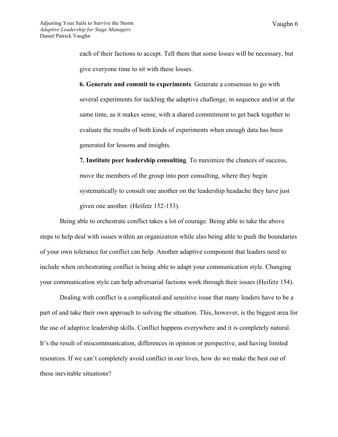each of their factions to accept. Tell them that some losses will be necessary, but give everyone time to sit with these losses.

**6. Generate and commit to experiments**. Generate a consensus to go with several experiments for tackling the adaptive challenge, in sequence and/or at the same time, as it makes sense, with a shared commitment to get back together to evaluate the results of both kinds of experiments when enough data has been generated for lessons and insights.

**7. Institute peer leadership consulting**. To maximize the chances of success, move the members of the group into peer consulting, where they begin systematically to consult one another on the leadership headache they have just given one another. (Heifetz 152-153).

Being able to orchestrate conflict takes a lot of courage. Being able to take the above steps to help deal with issues within an organization while also being able to push the boundaries of your own tolerance for conflict can help. Another adaptive component that leaders need to include when orchestrating conflict is being able to adapt your communication style. Changing your communication style can help adversarial factions work through their issues (Heifetz 154).

Dealing with conflict is a complicated and sensitive issue that many leaders have to be a part of and take their own approach to solving the situation. This, however, is the biggest area for the use of adaptive leadership skills. Conflict happens everywhere and it is completely natural. It's the result of miscommunication, differences in opinion or perspective, and having limited resources. If we can't completely avoid conflict in our lives, how do we make the best out of these inevitable situations?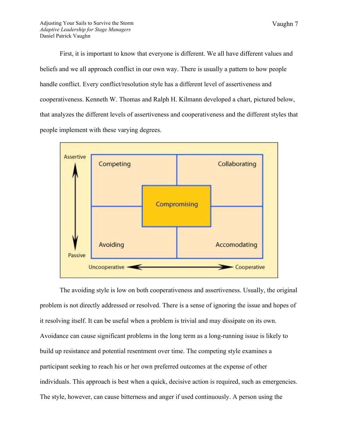First, it is important to know that everyone is different. We all have different values and beliefs and we all approach conflict in our own way. There is usually a pattern to how people handle conflict. Every conflict/resolution style has a different level of assertiveness and cooperativeness. Kenneth W. Thomas and Ralph H. Kilmann developed a chart, pictured below, that analyzes the different levels of assertiveness and cooperativeness and the different styles that people implement with these varying degrees.



The avoiding style is low on both cooperativeness and assertiveness. Usually, the original problem is not directly addressed or resolved. There is a sense of ignoring the issue and hopes of it resolving itself. It can be useful when a problem is trivial and may dissipate on its own. Avoidance can cause significant problems in the long term as a long-running issue is likely to build up resistance and potential resentment over time. The competing style examines a participant seeking to reach his or her own preferred outcomes at the expense of other individuals. This approach is best when a quick, decisive action is required, such as emergencies. The style, however, can cause bitterness and anger if used continuously. A person using the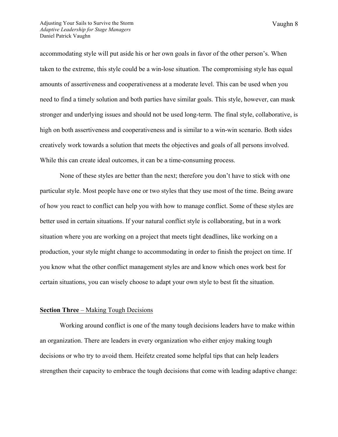accommodating style will put aside his or her own goals in favor of the other person's. When taken to the extreme, this style could be a win-lose situation. The compromising style has equal amounts of assertiveness and cooperativeness at a moderate level. This can be used when you need to find a timely solution and both parties have similar goals. This style, however, can mask stronger and underlying issues and should not be used long-term. The final style, collaborative, is high on both assertiveness and cooperativeness and is similar to a win-win scenario. Both sides creatively work towards a solution that meets the objectives and goals of all persons involved. While this can create ideal outcomes, it can be a time-consuming process.

None of these styles are better than the next; therefore you don't have to stick with one particular style. Most people have one or two styles that they use most of the time. Being aware of how you react to conflict can help you with how to manage conflict. Some of these styles are better used in certain situations. If your natural conflict style is collaborating, but in a work situation where you are working on a project that meets tight deadlines, like working on a production, your style might change to accommodating in order to finish the project on time. If you know what the other conflict management styles are and know which ones work best for certain situations, you can wisely choose to adapt your own style to best fit the situation.

#### **Section Three** – Making Tough Decisions

Working around conflict is one of the many tough decisions leaders have to make within an organization. There are leaders in every organization who either enjoy making tough decisions or who try to avoid them. Heifetz created some helpful tips that can help leaders strengthen their capacity to embrace the tough decisions that come with leading adaptive change: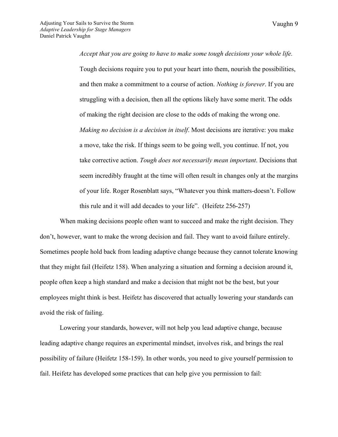Vaughn 9

*Accept that you are going to have to make some tough decisions your whole life.*  Tough decisions require you to put your heart into them, nourish the possibilities, and then make a commitment to a course of action. *Nothing is forever*. If you are struggling with a decision, then all the options likely have some merit. The odds of making the right decision are close to the odds of making the wrong one. *Making no decision is a decision in itself*. Most decisions are iterative: you make a move, take the risk. If things seem to be going well, you continue. If not, you take corrective action. *Tough does not necessarily mean important*. Decisions that seem incredibly fraught at the time will often result in changes only at the margins of your life. Roger Rosenblatt says, "Whatever you think matters-doesn't. Follow this rule and it will add decades to your life". (Heifetz 256-257)

When making decisions people often want to succeed and make the right decision. They don't, however, want to make the wrong decision and fail. They want to avoid failure entirely. Sometimes people hold back from leading adaptive change because they cannot tolerate knowing that they might fail (Heifetz 158). When analyzing a situation and forming a decision around it, people often keep a high standard and make a decision that might not be the best, but your employees might think is best. Heifetz has discovered that actually lowering your standards can avoid the risk of failing.

Lowering your standards, however, will not help you lead adaptive change, because leading adaptive change requires an experimental mindset, involves risk, and brings the real possibility of failure (Heifetz 158-159). In other words, you need to give yourself permission to fail. Heifetz has developed some practices that can help give you permission to fail: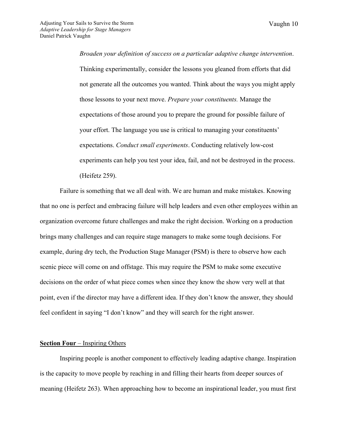Vaughn 10

*Broaden your definition of success on a particular adaptive change intervention*. Thinking experimentally, consider the lessons you gleaned from efforts that did not generate all the outcomes you wanted. Think about the ways you might apply those lessons to your next move. *Prepare your constituents.* Manage the expectations of those around you to prepare the ground for possible failure of your effort. The language you use is critical to managing your constituents' expectations. *Conduct small experiments*. Conducting relatively low-cost experiments can help you test your idea, fail, and not be destroyed in the process. (Heifetz 259).

Failure is something that we all deal with. We are human and make mistakes. Knowing that no one is perfect and embracing failure will help leaders and even other employees within an organization overcome future challenges and make the right decision. Working on a production brings many challenges and can require stage managers to make some tough decisions. For example, during dry tech, the Production Stage Manager (PSM) is there to observe how each scenic piece will come on and offstage. This may require the PSM to make some executive decisions on the order of what piece comes when since they know the show very well at that point, even if the director may have a different idea. If they don't know the answer, they should feel confident in saying "I don't know" and they will search for the right answer.

## **Section Four** – Inspiring Others

Inspiring people is another component to effectively leading adaptive change. Inspiration is the capacity to move people by reaching in and filling their hearts from deeper sources of meaning (Heifetz 263). When approaching how to become an inspirational leader, you must first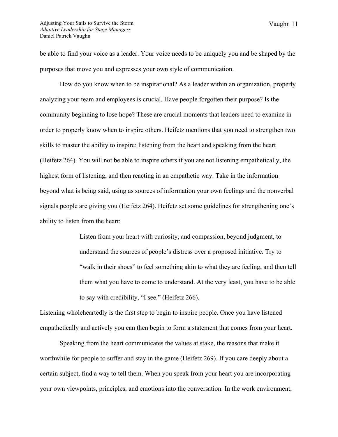be able to find your voice as a leader. Your voice needs to be uniquely you and be shaped by the purposes that move you and expresses your own style of communication.

How do you know when to be inspirational? As a leader within an organization, properly analyzing your team and employees is crucial. Have people forgotten their purpose? Is the community beginning to lose hope? These are crucial moments that leaders need to examine in order to properly know when to inspire others. Heifetz mentions that you need to strengthen two skills to master the ability to inspire: listening from the heart and speaking from the heart (Heifetz 264). You will not be able to inspire others if you are not listening empathetically, the highest form of listening, and then reacting in an empathetic way. Take in the information beyond what is being said, using as sources of information your own feelings and the nonverbal signals people are giving you (Heifetz 264). Heifetz set some guidelines for strengthening one's ability to listen from the heart:

> Listen from your heart with curiosity, and compassion, beyond judgment, to understand the sources of people's distress over a proposed initiative. Try to "walk in their shoes" to feel something akin to what they are feeling, and then tell them what you have to come to understand. At the very least, you have to be able to say with credibility, "I see." (Heifetz 266).

Listening wholeheartedly is the first step to begin to inspire people. Once you have listened empathetically and actively you can then begin to form a statement that comes from your heart.

Speaking from the heart communicates the values at stake, the reasons that make it worthwhile for people to suffer and stay in the game (Heifetz 269). If you care deeply about a certain subject, find a way to tell them. When you speak from your heart you are incorporating your own viewpoints, principles, and emotions into the conversation. In the work environment,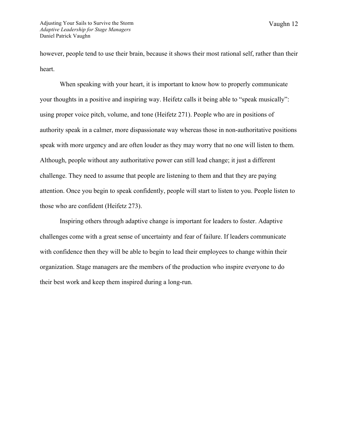however, people tend to use their brain, because it shows their most rational self, rather than their heart.

When speaking with your heart, it is important to know how to properly communicate your thoughts in a positive and inspiring way. Heifetz calls it being able to "speak musically": using proper voice pitch, volume, and tone (Heifetz 271). People who are in positions of authority speak in a calmer, more dispassionate way whereas those in non-authoritative positions speak with more urgency and are often louder as they may worry that no one will listen to them. Although, people without any authoritative power can still lead change; it just a different challenge. They need to assume that people are listening to them and that they are paying attention. Once you begin to speak confidently, people will start to listen to you. People listen to those who are confident (Heifetz 273).

Inspiring others through adaptive change is important for leaders to foster. Adaptive challenges come with a great sense of uncertainty and fear of failure. If leaders communicate with confidence then they will be able to begin to lead their employees to change within their organization. Stage managers are the members of the production who inspire everyone to do their best work and keep them inspired during a long-run.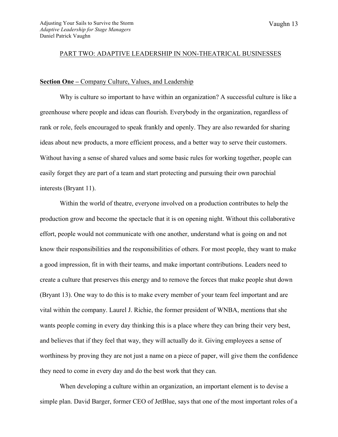#### PART TWO: ADAPTIVE LEADERSHIP IN NON-THEATRICAL BUSINESSES

## **Section One –** Company Culture, Values, and Leadership

Why is culture so important to have within an organization? A successful culture is like a greenhouse where people and ideas can flourish. Everybody in the organization, regardless of rank or role, feels encouraged to speak frankly and openly. They are also rewarded for sharing ideas about new products, a more efficient process, and a better way to serve their customers. Without having a sense of shared values and some basic rules for working together, people can easily forget they are part of a team and start protecting and pursuing their own parochial interests (Bryant 11).

Within the world of theatre, everyone involved on a production contributes to help the production grow and become the spectacle that it is on opening night. Without this collaborative effort, people would not communicate with one another, understand what is going on and not know their responsibilities and the responsibilities of others. For most people, they want to make a good impression, fit in with their teams, and make important contributions. Leaders need to create a culture that preserves this energy and to remove the forces that make people shut down (Bryant 13). One way to do this is to make every member of your team feel important and are vital within the company. Laurel J. Richie, the former president of WNBA, mentions that she wants people coming in every day thinking this is a place where they can bring their very best, and believes that if they feel that way, they will actually do it. Giving employees a sense of worthiness by proving they are not just a name on a piece of paper, will give them the confidence they need to come in every day and do the best work that they can.

When developing a culture within an organization, an important element is to devise a simple plan. David Barger, former CEO of JetBlue, says that one of the most important roles of a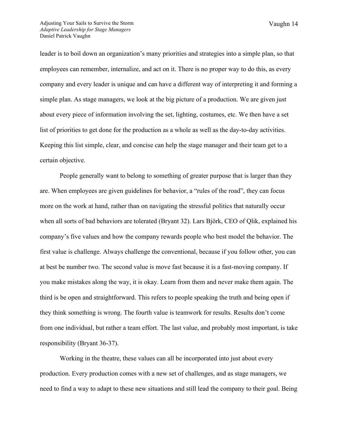leader is to boil down an organization's many priorities and strategies into a simple plan, so that employees can remember, internalize, and act on it. There is no proper way to do this, as every company and every leader is unique and can have a different way of interpreting it and forming a simple plan. As stage managers, we look at the big picture of a production. We are given just about every piece of information involving the set, lighting, costumes, etc. We then have a set list of priorities to get done for the production as a whole as well as the day-to-day activities. Keeping this list simple, clear, and concise can help the stage manager and their team get to a certain objective.

People generally want to belong to something of greater purpose that is larger than they are. When employees are given guidelines for behavior, a "rules of the road", they can focus more on the work at hand, rather than on navigating the stressful politics that naturally occur when all sorts of bad behaviors are tolerated (Bryant 32). Lars Björk, CEO of Qlik, explained his company's five values and how the company rewards people who best model the behavior. The first value is challenge. Always challenge the conventional, because if you follow other, you can at best be number two. The second value is move fast because it is a fast-moving company. If you make mistakes along the way, it is okay. Learn from them and never make them again. The third is be open and straightforward. This refers to people speaking the truth and being open if they think something is wrong. The fourth value is teamwork for results. Results don't come from one individual, but rather a team effort. The last value, and probably most important, is take responsibility (Bryant 36-37).

Working in the theatre, these values can all be incorporated into just about every production. Every production comes with a new set of challenges, and as stage managers, we need to find a way to adapt to these new situations and still lead the company to their goal. Being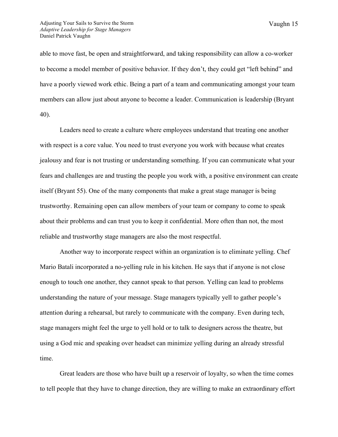able to move fast, be open and straightforward, and taking responsibility can allow a co-worker to become a model member of positive behavior. If they don't, they could get "left behind" and have a poorly viewed work ethic. Being a part of a team and communicating amongst your team members can allow just about anyone to become a leader. Communication is leadership (Bryant 40).

Leaders need to create a culture where employees understand that treating one another with respect is a core value. You need to trust everyone you work with because what creates jealousy and fear is not trusting or understanding something. If you can communicate what your fears and challenges are and trusting the people you work with, a positive environment can create itself (Bryant 55). One of the many components that make a great stage manager is being trustworthy. Remaining open can allow members of your team or company to come to speak about their problems and can trust you to keep it confidential. More often than not, the most reliable and trustworthy stage managers are also the most respectful.

Another way to incorporate respect within an organization is to eliminate yelling. Chef Mario Batali incorporated a no-yelling rule in his kitchen. He says that if anyone is not close enough to touch one another, they cannot speak to that person. Yelling can lead to problems understanding the nature of your message. Stage managers typically yell to gather people's attention during a rehearsal, but rarely to communicate with the company. Even during tech, stage managers might feel the urge to yell hold or to talk to designers across the theatre, but using a God mic and speaking over headset can minimize yelling during an already stressful time.

Great leaders are those who have built up a reservoir of loyalty, so when the time comes to tell people that they have to change direction, they are willing to make an extraordinary effort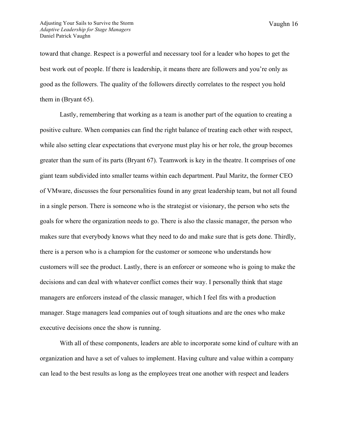toward that change. Respect is a powerful and necessary tool for a leader who hopes to get the best work out of people. If there is leadership, it means there are followers and you're only as good as the followers. The quality of the followers directly correlates to the respect you hold them in (Bryant 65).

Lastly, remembering that working as a team is another part of the equation to creating a positive culture. When companies can find the right balance of treating each other with respect, while also setting clear expectations that everyone must play his or her role, the group becomes greater than the sum of its parts (Bryant 67). Teamwork is key in the theatre. It comprises of one giant team subdivided into smaller teams within each department. Paul Maritz, the former CEO of VMware, discusses the four personalities found in any great leadership team, but not all found in a single person. There is someone who is the strategist or visionary, the person who sets the goals for where the organization needs to go. There is also the classic manager, the person who makes sure that everybody knows what they need to do and make sure that is gets done. Thirdly, there is a person who is a champion for the customer or someone who understands how customers will see the product. Lastly, there is an enforcer or someone who is going to make the decisions and can deal with whatever conflict comes their way. I personally think that stage managers are enforcers instead of the classic manager, which I feel fits with a production manager. Stage managers lead companies out of tough situations and are the ones who make executive decisions once the show is running.

With all of these components, leaders are able to incorporate some kind of culture with an organization and have a set of values to implement. Having culture and value within a company can lead to the best results as long as the employees treat one another with respect and leaders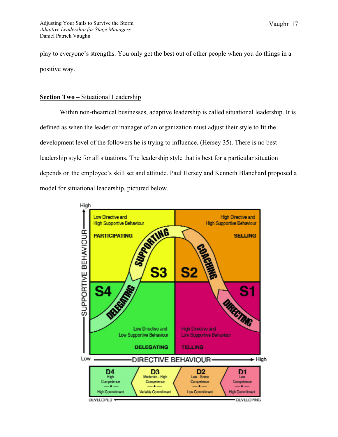play to everyone's strengths. You only get the best out of other people when you do things in a positive way.

## **Section Two –** Situational Leadership

Within non-theatrical businesses, adaptive leadership is called situational leadership. It is defined as when the leader or manager of an organization must adjust their style to fit the development level of the followers he is trying to influence. (Hersey 35). There is no best leadership style for all situations. The leadership style that is best for a particular situation depends on the employee's skill set and attitude. Paul Hersey and Kenneth Blanchard proposed a model for situational leadership, pictured below.

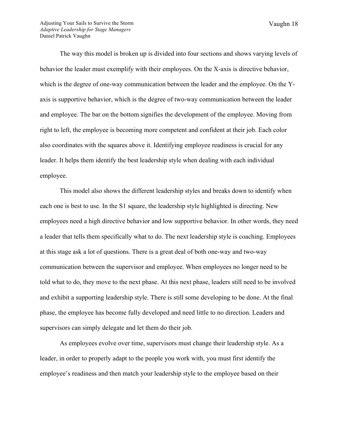The way this model is broken up is divided into four sections and shows varying levels of behavior the leader must exemplify with their employees. On the X-axis is directive behavior, which is the degree of one-way communication between the leader and the employee. On the Yaxis is supportive behavior, which is the degree of two-way communication between the leader and employee. The bar on the bottom signifies the development of the employee. Moving from right to left, the employee is becoming more competent and confident at their job. Each color also coordinates with the squares above it. Identifying employee readiness is crucial for any leader. It helps them identify the best leadership style when dealing with each individual employee.

This model also shows the different leadership styles and breaks down to identify when each one is best to use. In the S1 square, the leadership style highlighted is directing. New employees need a high directive behavior and low supportive behavior. In other words, they need a leader that tells them specifically what to do. The next leadership style is coaching. Employees at this stage ask a lot of questions. There is a great deal of both one-way and two-way communication between the supervisor and employee. When employees no longer need to be told what to do, they move to the next phase. At this next phase, leaders still need to be involved and exhibit a supporting leadership style. There is still some developing to be done. At the final phase, the employee has become fully developed and need little to no direction. Leaders and supervisors can simply delegate and let them do their job.

As employees evolve over time, supervisors must change their leadership style. As a leader, in order to properly adapt to the people you work with, you must first identify the employee's readiness and then match your leadership style to the employee based on their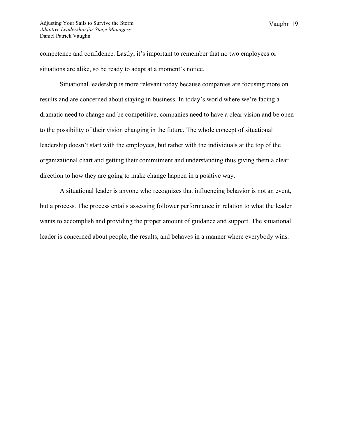competence and confidence. Lastly, it's important to remember that no two employees or situations are alike, so be ready to adapt at a moment's notice.

Situational leadership is more relevant today because companies are focusing more on results and are concerned about staying in business. In today's world where we're facing a dramatic need to change and be competitive, companies need to have a clear vision and be open to the possibility of their vision changing in the future. The whole concept of situational leadership doesn't start with the employees, but rather with the individuals at the top of the organizational chart and getting their commitment and understanding thus giving them a clear direction to how they are going to make change happen in a positive way.

A situational leader is anyone who recognizes that influencing behavior is not an event, but a process. The process entails assessing follower performance in relation to what the leader wants to accomplish and providing the proper amount of guidance and support. The situational leader is concerned about people, the results, and behaves in a manner where everybody wins.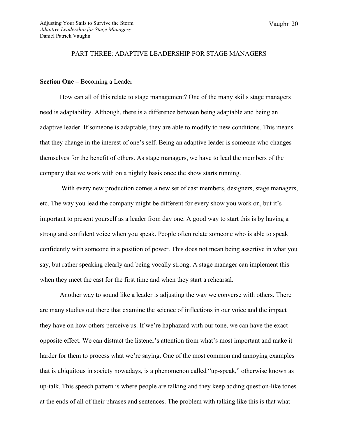#### PART THREE: ADAPTIVE LEADERSHIP FOR STAGE MANAGERS

## **Section One –** Becoming a Leader

How can all of this relate to stage management? One of the many skills stage managers need is adaptability. Although, there is a difference between being adaptable and being an adaptive leader. If someone is adaptable, they are able to modify to new conditions. This means that they change in the interest of one's self. Being an adaptive leader is someone who changes themselves for the benefit of others. As stage managers, we have to lead the members of the company that we work with on a nightly basis once the show starts running.

With every new production comes a new set of cast members, designers, stage managers, etc. The way you lead the company might be different for every show you work on, but it's important to present yourself as a leader from day one. A good way to start this is by having a strong and confident voice when you speak. People often relate someone who is able to speak confidently with someone in a position of power. This does not mean being assertive in what you say, but rather speaking clearly and being vocally strong. A stage manager can implement this when they meet the cast for the first time and when they start a rehearsal.

Another way to sound like a leader is adjusting the way we converse with others. There are many studies out there that examine the science of inflections in our voice and the impact they have on how others perceive us. If we're haphazard with our tone, we can have the exact opposite effect. We can distract the listener's attention from what's most important and make it harder for them to process what we're saying. One of the most common and annoying examples that is ubiquitous in society nowadays, is a phenomenon called "up-speak," otherwise known as up-talk. This speech pattern is where people are talking and they keep adding question-like tones at the ends of all of their phrases and sentences. The problem with talking like this is that what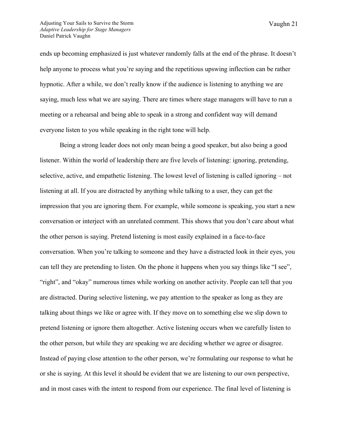ends up becoming emphasized is just whatever randomly falls at the end of the phrase. It doesn't help anyone to process what you're saying and the repetitious upswing inflection can be rather hypnotic. After a while, we don't really know if the audience is listening to anything we are saying, much less what we are saying. There are times where stage managers will have to run a meeting or a rehearsal and being able to speak in a strong and confident way will demand everyone listen to you while speaking in the right tone will help.

Being a strong leader does not only mean being a good speaker, but also being a good listener. Within the world of leadership there are five levels of listening: ignoring, pretending, selective, active, and empathetic listening. The lowest level of listening is called ignoring – not listening at all. If you are distracted by anything while talking to a user, they can get the impression that you are ignoring them. For example, while someone is speaking, you start a new conversation or interject with an unrelated comment. This shows that you don't care about what the other person is saying. Pretend listening is most easily explained in a face-to-face conversation. When you're talking to someone and they have a distracted look in their eyes, you can tell they are pretending to listen. On the phone it happens when you say things like "I see", "right", and "okay" numerous times while working on another activity. People can tell that you are distracted. During selective listening, we pay attention to the speaker as long as they are talking about things we like or agree with. If they move on to something else we slip down to pretend listening or ignore them altogether. Active listening occurs when we carefully listen to the other person, but while they are speaking we are deciding whether we agree or disagree. Instead of paying close attention to the other person, we're formulating our response to what he or she is saying. At this level it should be evident that we are listening to our own perspective, and in most cases with the intent to respond from our experience. The final level of listening is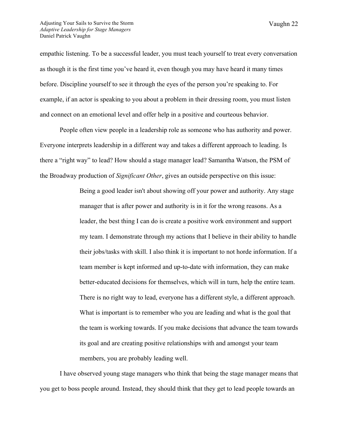empathic listening. To be a successful leader, you must teach yourself to treat every conversation as though it is the first time you've heard it, even though you may have heard it many times before. Discipline yourself to see it through the eyes of the person you're speaking to. For example, if an actor is speaking to you about a problem in their dressing room, you must listen and connect on an emotional level and offer help in a positive and courteous behavior.

People often view people in a leadership role as someone who has authority and power. Everyone interprets leadership in a different way and takes a different approach to leading. Is there a "right way" to lead? How should a stage manager lead? Samantha Watson, the PSM of the Broadway production of *Significant Other*, gives an outside perspective on this issue:

> Being a good leader isn't about showing off your power and authority. Any stage manager that is after power and authority is in it for the wrong reasons. As a leader, the best thing I can do is create a positive work environment and support my team. I demonstrate through my actions that I believe in their ability to handle their jobs/tasks with skill. I also think it is important to not horde information. If a team member is kept informed and up-to-date with information, they can make better-educated decisions for themselves, which will in turn, help the entire team. There is no right way to lead, everyone has a different style, a different approach. What is important is to remember who you are leading and what is the goal that the team is working towards. If you make decisions that advance the team towards its goal and are creating positive relationships with and amongst your team members, you are probably leading well.

I have observed young stage managers who think that being the stage manager means that you get to boss people around. Instead, they should think that they get to lead people towards an

Vaughn 22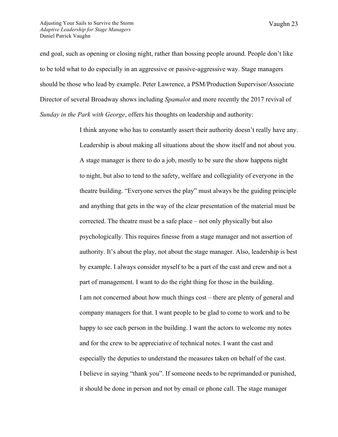Vaughn 23

end goal, such as opening or closing night, rather than bossing people around. People don't like to be told what to do especially in an aggressive or passive-aggressive way. Stage managers should be those who lead by example. Peter Lawrence, a PSM/Production Supervisor/Associate Director of several Broadway shows including *Spamalot* and more recently the 2017 revival of *Sunday in the Park with George*, offers his thoughts on leadership and authority:

> I think anyone who has to constantly assert their authority doesn't really have any. Leadership is about making all situations about the show itself and not about you. A stage manager is there to do a job, mostly to be sure the show happens night to night, but also to tend to the safety, welfare and collegiality of everyone in the theatre building. "Everyone serves the play" must always be the guiding principle and anything that gets in the way of the clear presentation of the material must be corrected. The theatre must be a safe place – not only physically but also psychologically. This requires finesse from a stage manager and not assertion of authority. It's about the play, not about the stage manager. Also, leadership is best by example. I always consider myself to be a part of the cast and crew and not a part of management. I want to do the right thing for those in the building. I am not concerned about how much things cost – there are plenty of general and company managers for that. I want people to be glad to come to work and to be happy to see each person in the building. I want the actors to welcome my notes and for the crew to be appreciative of technical notes. I want the cast and especially the deputies to understand the measures taken on behalf of the cast. I believe in saying "thank you". If someone needs to be reprimanded or punished, it should be done in person and not by email or phone call. The stage manager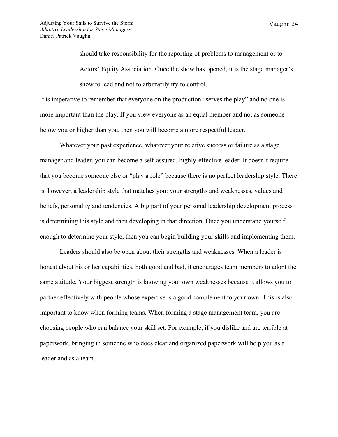should take responsibility for the reporting of problems to management or to Actors' Equity Association. Once the show has opened, it is the stage manager's show to lead and not to arbitrarily try to control.

It is imperative to remember that everyone on the production "serves the play" and no one is more important than the play. If you view everyone as an equal member and not as someone below you or higher than you, then you will become a more respectful leader.

Whatever your past experience, whatever your relative success or failure as a stage manager and leader, you can become a self-assured, highly-effective leader. It doesn't require that you become someone else or "play a role" because there is no perfect leadership style. There is, however, a leadership style that matches you: your strengths and weaknesses, values and beliefs, personality and tendencies. A big part of your personal leadership development process is determining this style and then developing in that direction. Once you understand yourself enough to determine your style, then you can begin building your skills and implementing them.

Leaders should also be open about their strengths and weaknesses. When a leader is honest about his or her capabilities, both good and bad, it encourages team members to adopt the same attitude. Your biggest strength is knowing your own weaknesses because it allows you to partner effectively with people whose expertise is a good complement to your own. This is also important to know when forming teams. When forming a stage management team, you are choosing people who can balance your skill set. For example, if you dislike and are terrible at paperwork, bringing in someone who does clear and organized paperwork will help you as a leader and as a team.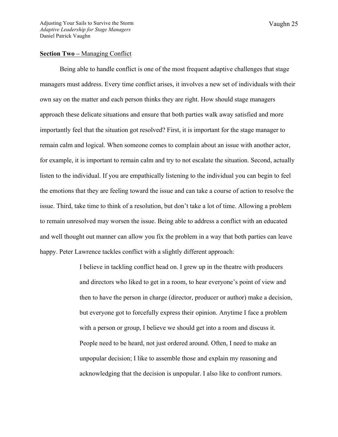## **Section Two –** Managing Conflict

Being able to handle conflict is one of the most frequent adaptive challenges that stage managers must address. Every time conflict arises, it involves a new set of individuals with their own say on the matter and each person thinks they are right. How should stage managers approach these delicate situations and ensure that both parties walk away satisfied and more importantly feel that the situation got resolved? First, it is important for the stage manager to remain calm and logical. When someone comes to complain about an issue with another actor, for example, it is important to remain calm and try to not escalate the situation. Second, actually listen to the individual. If you are empathically listening to the individual you can begin to feel the emotions that they are feeling toward the issue and can take a course of action to resolve the issue. Third, take time to think of a resolution, but don't take a lot of time. Allowing a problem to remain unresolved may worsen the issue. Being able to address a conflict with an educated and well thought out manner can allow you fix the problem in a way that both parties can leave happy. Peter Lawrence tackles conflict with a slightly different approach:

> I believe in tackling conflict head on. I grew up in the theatre with producers and directors who liked to get in a room, to hear everyone's point of view and then to have the person in charge (director, producer or author) make a decision, but everyone got to forcefully express their opinion. Anytime I face a problem with a person or group, I believe we should get into a room and discuss it. People need to be heard, not just ordered around. Often, I need to make an unpopular decision; I like to assemble those and explain my reasoning and acknowledging that the decision is unpopular. I also like to confront rumors.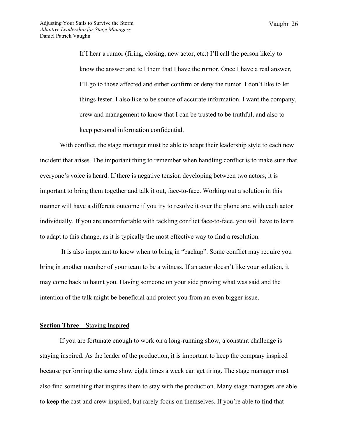Vaughn 26

If I hear a rumor (firing, closing, new actor, etc.) I'll call the person likely to know the answer and tell them that I have the rumor. Once I have a real answer, I'll go to those affected and either confirm or deny the rumor. I don't like to let things fester. I also like to be source of accurate information. I want the company, crew and management to know that I can be trusted to be truthful, and also to keep personal information confidential.

With conflict, the stage manager must be able to adapt their leadership style to each new incident that arises. The important thing to remember when handling conflict is to make sure that everyone's voice is heard. If there is negative tension developing between two actors, it is important to bring them together and talk it out, face-to-face. Working out a solution in this manner will have a different outcome if you try to resolve it over the phone and with each actor individually. If you are uncomfortable with tackling conflict face-to-face, you will have to learn to adapt to this change, as it is typically the most effective way to find a resolution.

It is also important to know when to bring in "backup". Some conflict may require you bring in another member of your team to be a witness. If an actor doesn't like your solution, it may come back to haunt you. Having someone on your side proving what was said and the intention of the talk might be beneficial and protect you from an even bigger issue.

#### **Section Three –** Staying Inspired

If you are fortunate enough to work on a long-running show, a constant challenge is staying inspired. As the leader of the production, it is important to keep the company inspired because performing the same show eight times a week can get tiring. The stage manager must also find something that inspires them to stay with the production. Many stage managers are able to keep the cast and crew inspired, but rarely focus on themselves. If you're able to find that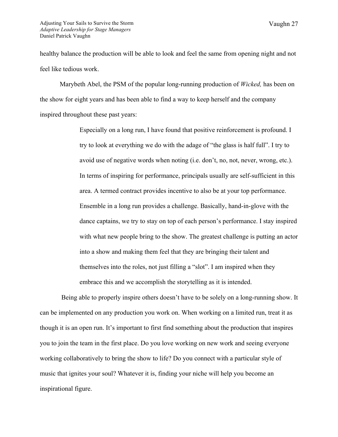healthy balance the production will be able to look and feel the same from opening night and not feel like tedious work.

Marybeth Abel, the PSM of the popular long-running production of *Wicked,* has been on the show for eight years and has been able to find a way to keep herself and the company inspired throughout these past years:

> Especially on a long run, I have found that positive reinforcement is profound. I try to look at everything we do with the adage of "the glass is half full". I try to avoid use of negative words when noting (i.e. don't, no, not, never, wrong, etc.). In terms of inspiring for performance, principals usually are self-sufficient in this area. A termed contract provides incentive to also be at your top performance. Ensemble in a long run provides a challenge. Basically, hand-in-glove with the dance captains, we try to stay on top of each person's performance. I stay inspired with what new people bring to the show. The greatest challenge is putting an actor into a show and making them feel that they are bringing their talent and themselves into the roles, not just filling a "slot". I am inspired when they embrace this and we accomplish the storytelling as it is intended.

Being able to properly inspire others doesn't have to be solely on a long-running show. It can be implemented on any production you work on. When working on a limited run, treat it as though it is an open run. It's important to first find something about the production that inspires you to join the team in the first place. Do you love working on new work and seeing everyone working collaboratively to bring the show to life? Do you connect with a particular style of music that ignites your soul? Whatever it is, finding your niche will help you become an inspirational figure.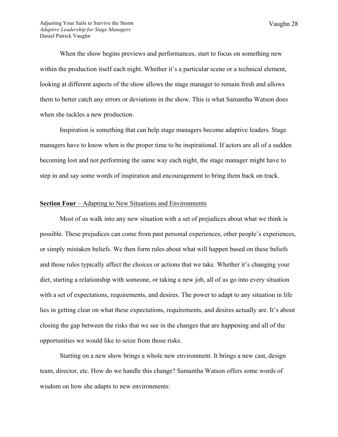When the show begins previews and performances, start to focus on something new within the production itself each night. Whether it's a particular scene or a technical element, looking at different aspects of the show allows the stage manager to remain fresh and allows them to better catch any errors or deviations in the show. This is what Samantha Watson does when she tackles a new production.

Inspiration is something that can help stage managers become adaptive leaders. Stage managers have to know when is the proper time to be inspirational. If actors are all of a sudden becoming lost and not performing the same way each night, the stage manager might have to step in and say some words of inspiration and encouragement to bring them back on track.

## **Section Four** – Adapting to New Situations and Environments

Most of us walk into any new situation with a set of prejudices about what we think is possible. These prejudices can come from past personal experiences, other people's experiences, or simply mistaken beliefs. We then form rules about what will happen based on these beliefs and those rules typically affect the choices or actions that we take. Whether it's changing your diet, starting a relationship with someone, or taking a new job, all of us go into every situation with a set of expectations, requirements, and desires. The power to adapt to any situation in life lies in getting clear on what these expectations, requirements, and desires actually are. It's about closing the gap between the risks that we see in the changes that are happening and all of the opportunities we would like to seize from those risks.

Starting on a new show brings a whole new environment. It brings a new cast, design team, director, etc. How do we handle this change? Samantha Watson offers some words of wisdom on how she adapts to new environments: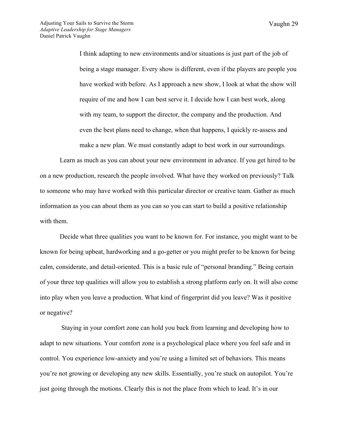Vaughn 29

I think adapting to new environments and/or situations is just part of the job of being a stage manager. Every show is different, even if the players are people you have worked with before. As I approach a new show, I look at what the show will require of me and how I can best serve it. I decide how I can best work, along with my team, to support the director, the company and the production. And even the best plans need to change, when that happens, I quickly re-assess and make a new plan. We must constantly adapt to best work in our surroundings.

Learn as much as you can about your new environment in advance. If you get hired to be on a new production, research the people involved. What have they worked on previously? Talk to someone who may have worked with this particular director or creative team. Gather as much information as you can about them as you can so you can start to build a positive relationship with them.

Decide what three qualities you want to be known for. For instance, you might want to be known for being upbeat, hardworking and a go-getter or you might prefer to be known for being calm, considerate, and detail-oriented. This is a basic rule of "personal branding." Being certain of your three top qualities will allow you to establish a strong platform early on. It will also come into play when you leave a production. What kind of fingerprint did you leave? Was it positive or negative?

Staying in your comfort zone can hold you back from learning and developing how to adapt to new situations. Your comfort zone is a psychological place where you feel safe and in control. You experience low-anxiety and you're using a limited set of behaviors. This means you're not growing or developing any new skills. Essentially, you're stuck on autopilot. You're just going through the motions. Clearly this is not the place from which to lead. It's in our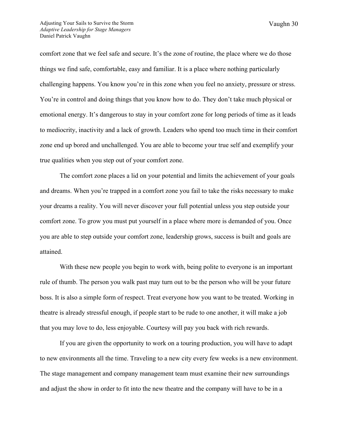comfort zone that we feel safe and secure. It's the zone of routine, the place where we do those things we find safe, comfortable, easy and familiar. It is a place where nothing particularly challenging happens. You know you're in this zone when you feel no anxiety, pressure or stress. You're in control and doing things that you know how to do. They don't take much physical or emotional energy. It's dangerous to stay in your comfort zone for long periods of time as it leads to mediocrity, inactivity and a lack of growth. Leaders who spend too much time in their comfort zone end up bored and unchallenged. You are able to become your true self and exemplify your true qualities when you step out of your comfort zone.

The comfort zone places a lid on your potential and limits the achievement of your goals and dreams. When you're trapped in a comfort zone you fail to take the risks necessary to make your dreams a reality. You will never discover your full potential unless you step outside your comfort zone. To grow you must put yourself in a place where more is demanded of you. Once you are able to step outside your comfort zone, leadership grows, success is built and goals are attained.

With these new people you begin to work with, being polite to everyone is an important rule of thumb. The person you walk past may turn out to be the person who will be your future boss. It is also a simple form of respect. Treat everyone how you want to be treated. Working in theatre is already stressful enough, if people start to be rude to one another, it will make a job that you may love to do, less enjoyable. Courtesy will pay you back with rich rewards.

If you are given the opportunity to work on a touring production, you will have to adapt to new environments all the time. Traveling to a new city every few weeks is a new environment. The stage management and company management team must examine their new surroundings and adjust the show in order to fit into the new theatre and the company will have to be in a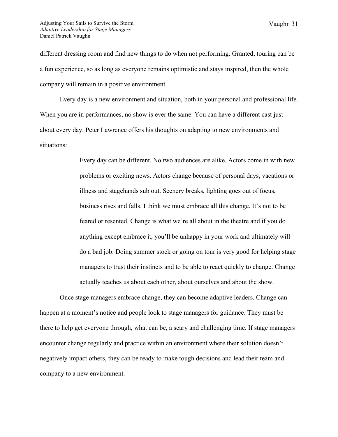different dressing room and find new things to do when not performing. Granted, touring can be a fun experience, so as long as everyone remains optimistic and stays inspired, then the whole company will remain in a positive environment.

Every day is a new environment and situation, both in your personal and professional life. When you are in performances, no show is ever the same. You can have a different cast just about every day. Peter Lawrence offers his thoughts on adapting to new environments and situations:

> Every day can be different. No two audiences are alike. Actors come in with new problems or exciting news. Actors change because of personal days, vacations or illness and stagehands sub out. Scenery breaks, lighting goes out of focus, business rises and falls. I think we must embrace all this change. It's not to be feared or resented. Change is what we're all about in the theatre and if you do anything except embrace it, you'll be unhappy in your work and ultimately will do a bad job. Doing summer stock or going on tour is very good for helping stage managers to trust their instincts and to be able to react quickly to change. Change actually teaches us about each other, about ourselves and about the show.

Once stage managers embrace change, they can become adaptive leaders. Change can happen at a moment's notice and people look to stage managers for guidance. They must be there to help get everyone through, what can be, a scary and challenging time. If stage managers encounter change regularly and practice within an environment where their solution doesn't negatively impact others, they can be ready to make tough decisions and lead their team and company to a new environment.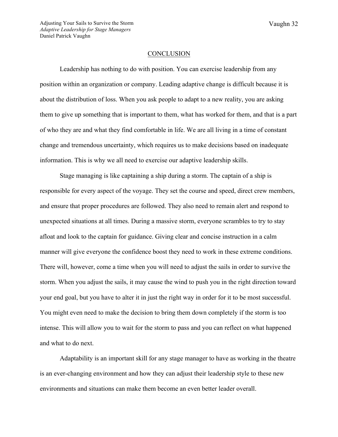#### **CONCLUSION**

Leadership has nothing to do with position. You can exercise leadership from any position within an organization or company. Leading adaptive change is difficult because it is about the distribution of loss. When you ask people to adapt to a new reality, you are asking them to give up something that is important to them, what has worked for them, and that is a part of who they are and what they find comfortable in life. We are all living in a time of constant change and tremendous uncertainty, which requires us to make decisions based on inadequate information. This is why we all need to exercise our adaptive leadership skills.

Stage managing is like captaining a ship during a storm. The captain of a ship is responsible for every aspect of the voyage. They set the course and speed, direct crew members, and ensure that proper procedures are followed. They also need to remain alert and respond to unexpected situations at all times. During a massive storm, everyone scrambles to try to stay afloat and look to the captain for guidance. Giving clear and concise instruction in a calm manner will give everyone the confidence boost they need to work in these extreme conditions. There will, however, come a time when you will need to adjust the sails in order to survive the storm. When you adjust the sails, it may cause the wind to push you in the right direction toward your end goal, but you have to alter it in just the right way in order for it to be most successful. You might even need to make the decision to bring them down completely if the storm is too intense. This will allow you to wait for the storm to pass and you can reflect on what happened and what to do next.

Adaptability is an important skill for any stage manager to have as working in the theatre is an ever-changing environment and how they can adjust their leadership style to these new environments and situations can make them become an even better leader overall.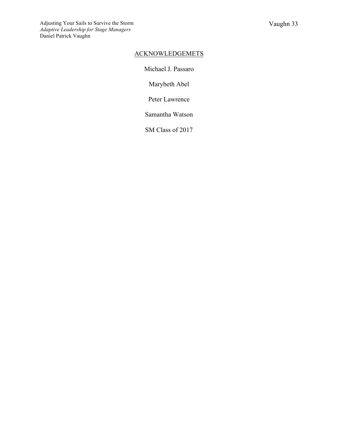## ACKNOWLEDGEMETS

Michael J. Passaro

Marybeth Abel

Peter Lawrence

Samantha Watson

SM Class of 2017